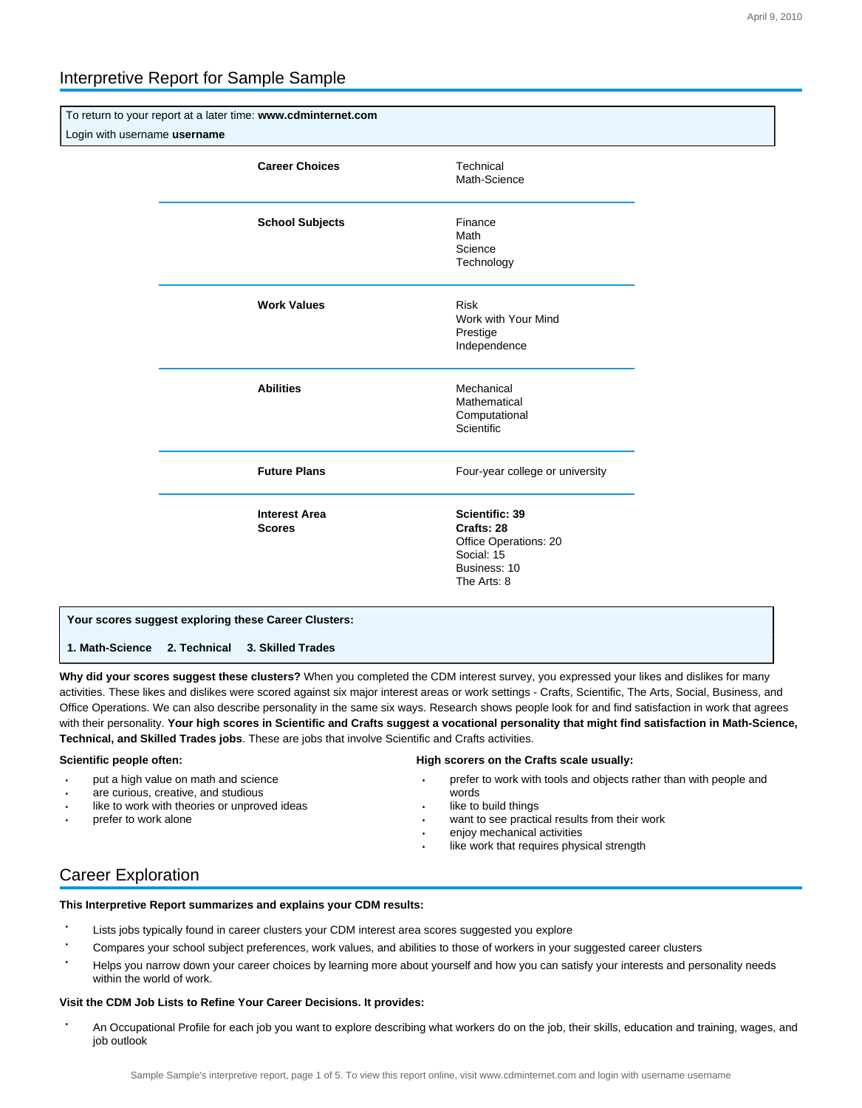# Interpretive Report for Sample Sample

To return to your report at a later time: **www.cdminternet.com** Login with username **username**

| <b>Career Choices</b>                 | Technical<br>Math-Science                                                                          |
|---------------------------------------|----------------------------------------------------------------------------------------------------|
| <b>School Subjects</b>                | Finance<br>Math<br>Science<br>Technology                                                           |
| <b>Work Values</b>                    | <b>Risk</b><br>Work with Your Mind<br>Prestige<br>Independence                                     |
| <b>Abilities</b>                      | Mechanical<br>Mathematical<br>Computational<br><b>Scientific</b>                                   |
| <b>Future Plans</b>                   | Four-year college or university                                                                    |
| <b>Interest Area</b><br><b>Scores</b> | Scientific: 39<br>Crafts: 28<br>Office Operations: 20<br>Social: 15<br>Business: 10<br>The Arts: 8 |

# **Your scores suggest exploring these Career Clusters:**

**1. Math-Science 2. Technical 3. Skilled Trades** 

**Why did your scores suggest these clusters?** When you completed the CDM interest survey, you expressed your likes and dislikes for many activities. These likes and dislikes were scored against six major interest areas or work settings - Crafts, Scientific, The Arts, Social, Business, and Office Operations. We can also describe personality in the same six ways. Research shows people look for and find satisfaction in work that agrees with their personality. **Your high scores in Scientific and Crafts suggest a vocational personality that might find satisfaction in Math-Science, Technical, and Skilled Trades jobs**. These are jobs that involve Scientific and Crafts activities.

### **Scientific people often:**

- put a high value on math and science
- are curious, creative, and studious
- like to work with theories or unproved ideas
- prefer to work alone

### **High scorers on the Crafts scale usually:**

- prefer to work with tools and objects rather than with people and words
- like to build things
- want to see practical results from their work
- enjoy mechanical activities
- like work that requires physical strength

# Career Exploration

**This Interpretive Report summarizes and explains your CDM results:**

- Lists jobs typically found in career clusters your CDM interest area scores suggested you explore
- Compares your school subject preferences, work values, and abilities to those of workers in your suggested career clusters
- Helps you narrow down your career choices by learning more about yourself and how you can satisfy your interests and personality needs within the world of work.

### **Visit the CDM Job Lists to Refine Your Career Decisions. It provides:**

 • An Occupational Profile for each job you want to explore describing what workers do on the job, their skills, education and training, wages, and job outlook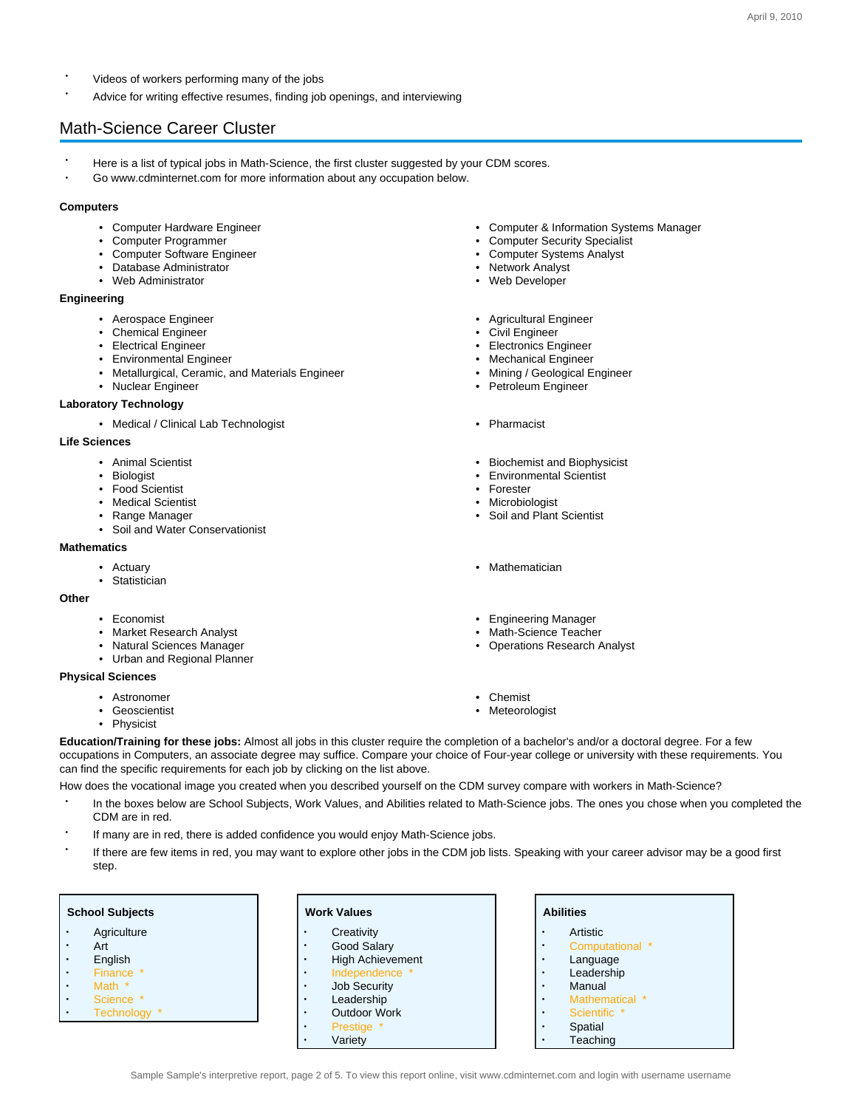- Videos of workers performing many of the jobs
- Advice for writing effective resumes, finding job openings, and interviewing

# Math-Science Career Cluster

- Here is a list of typical jobs in Math-Science, the first cluster suggested by your CDM scores.
	- Go www.cdminternet.com for more information about any occupation below.

### **Computers**

- 
- Computer Programmer Computer Security Specialist
- Computer Software Engineer Computer Systems Analyst
- Database Administrator Network Analyst
- Web Administrator Web Developer

#### **Engineering**

- 
- Chemical Engineer Civil Engineer Civil Engineer
- 
- Environmental Engineer Mechanical Engineer Mechanical Engineer
- Metallurgical, Ceramic, and Materials Engineer  **Mining / Geological Engineer**
- Nuclear Engineer Petroleum Engineer Petroleum Engineer

### **Laboratory Technology**

• Medical / Clinical Lab Technologist • Pharmacist

#### **Life Sciences**

- 
- 
- Food Scientist Forester
- 
- 
- Soil and Water Conservationist

#### **Mathematics**

- 
- Statistician

**Other**

- 
- Market Research Analyst  **Math-Science Teacher** Math-Science Teacher
- 
- Urban and Regional Planner

### **Physical Sciences**

- Astronomer Chemist
- 
- Physicist
- Computer Hardware Engineer Computer & Information Systems Manager
	-
	-
	-
	-
- Aerospace Engineer **Agricultural Engineer** Agricultural Engineer
	-
- Electrical Engineer Electronics Engineer
	-
	-
	-
	-
- Animal Scientist  **Biochemist and Biophysicist** Biochemist and Biophysicist
- Biologist Biologist Environmental Scientist
	-
- Medical Scientist Microbiologist Microbiologist Microbiologist
- Range Manager Soil and Plant Scientist
- Actuary Mathematician
- Economist Economist Engineering Manager
	-
- Natural Sciences Manager  **Constructions Research Analyst** Operations Research Analyst
	-
	- Meteorologist
- **Education/Training for these jobs:** Almost all jobs in this cluster require the completion of a bachelor's and/or a doctoral degree. For a few occupations in Computers, an associate degree may suffice. Compare your choice of Four-year college or university with these requirements. You can find the specific requirements for each job by clicking on the list above.

How does the vocational image you created when you described yourself on the CDM survey compare with workers in Math-Science?

- In the boxes below are School Subjects, Work Values, and Abilities related to Math-Science jobs. The ones you chose when you completed the CDM are in red.
- If many are in red, there is added confidence you would enjoy Math-Science jobs.
- If there are few items in red, you may want to explore other jobs in the CDM job lists. Speaking with your career advisor may be a good first step.

- **Agriculture**
- Art
- English
- Finance \*<br>• Math \*
- Math \*
- Science \* • Technology \*
- **Creativity**
- Good Salary
- High Achievement
- Independence
- **Job Security**
- Leadership
- Outdoor Work
	- **Prestige**
	- **Variety**

### **Abilities** • Artistic • Computational \* • Language **Leadership**

- **Manual**
- Mathematical \*
- Scientific <sup>1</sup>
- **Spatial**
- **Teaching**
- **Work Values**
- -
	-
	-
	-
	-
-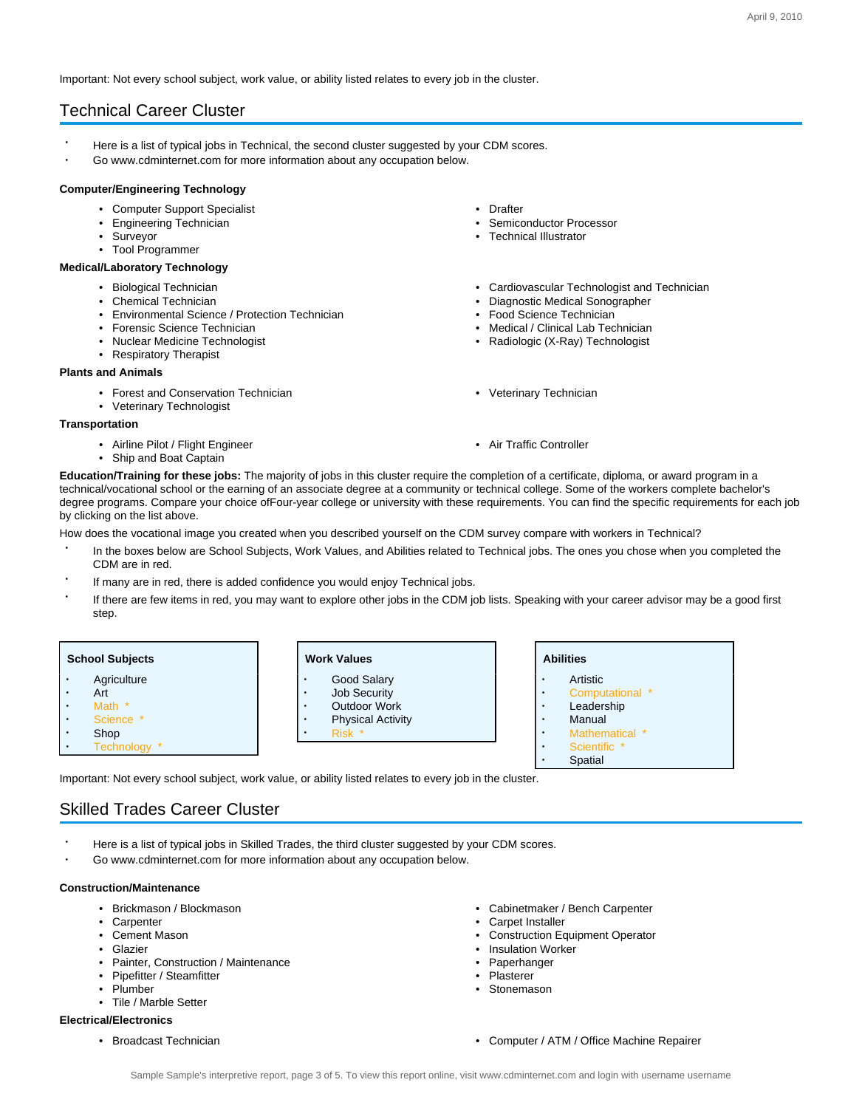Important: Not every school subject, work value, or ability listed relates to every job in the cluster.

# Technical Career Cluster

- Here is a list of typical jobs in Technical, the second cluster suggested by your CDM scores.
- Go www.cdminternet.com for more information about any occupation below.

### **Computer/Engineering Technology**

- Computer Support Specialist Drafter
- Engineering Technician
- 
- Tool Programmer

# **Medical/Laboratory Technology**

- 
- 
- Environmental Science / Protection Technician Protection Food Science Technician
- Forensic Science Technician  **Medical / Clinical Lab Technician** Medical / Clinical Lab Technician
- Nuclear Medicine Technologist  **Radiologic (X-Ray) Technologist**
- Respiratory Therapist

#### **Plants and Animals**

- Forest and Conservation Technician **•** Veterinary Technician Veterinary Technician
- Veterinary Technologist

### **Transportation**

- Airline Pilot / Flight Engineer **Air Traffic Controller** Air Traffic Controller
- Ship and Boat Captain
- 
- 
- Surveyor Technical Illustrator
- Biological Technician Cardiovascular Technologist and Technician
- Chemical Technician Diagnostic Medical Sonographer
	-
	-
	-
	-
	-

**Education/Training for these jobs:** The majority of jobs in this cluster require the completion of a certificate, diploma, or award program in a technical/vocational school or the earning of an associate degree at a community or technical college. Some of the workers complete bachelor's degree programs. Compare your choice ofFour-year college or university with these requirements. You can find the specific requirements for each job by clicking on the list above.

How does the vocational image you created when you described yourself on the CDM survey compare with workers in Technical?

- In the boxes below are School Subjects, Work Values, and Abilities related to Technical jobs. The ones you chose when you completed the CDM are in red.
- If many are in red, there is added confidence you would enjoy Technical jobs.
- If there are few items in red, you may want to explore other jobs in the CDM job lists. Speaking with your career advisor may be a good first step.

| <b>School Subjects</b> |  | <b>Work Values</b>                    |
|------------------------|--|---------------------------------------|
| Agriculture            |  | Good Salary<br>$\bullet$              |
| Art<br>٠               |  | <b>Job Security</b><br>$\bullet$      |
| Math *                 |  | <b>Outdoor Work</b><br>$\bullet$      |
| Science                |  | <b>Physical Activity</b><br>$\bullet$ |
| Shop                   |  | Rick *<br>$\bullet$                   |

**Abilities**

- **Artistic**
- Computational \*
- **Leadership**
- **Manual**
- Mathematical \*
- Scientific \*
- **Spatial**

Important: Not every school subject, work value, or ability listed relates to every job in the cluster.

# Skilled Trades Career Cluster

- Here is a list of typical jobs in Skilled Trades, the third cluster suggested by your CDM scores.
- Go www.cdminternet.com for more information about any occupation below.

#### **Construction/Maintenance**

• Technology \*

- Brickmason / Blockmason Cabinetmaker / Bench Carpenter
- **Carpenter Carpet Installer**
- 
- 
- Painter, Construction / Maintenance Paperhanger
- Pipefitter / Steamfitter
- 
- Tile / Marble Setter

# **Electrical/Electronics**

- 
- 
- Cement Mason Construction Equipment Operator<br>• Glazier Glazier
	- Insulation Worker
	-
	-
	- Plumber Stonemason
- Broadcast Technician Computer / ATM / Office Machine Repairer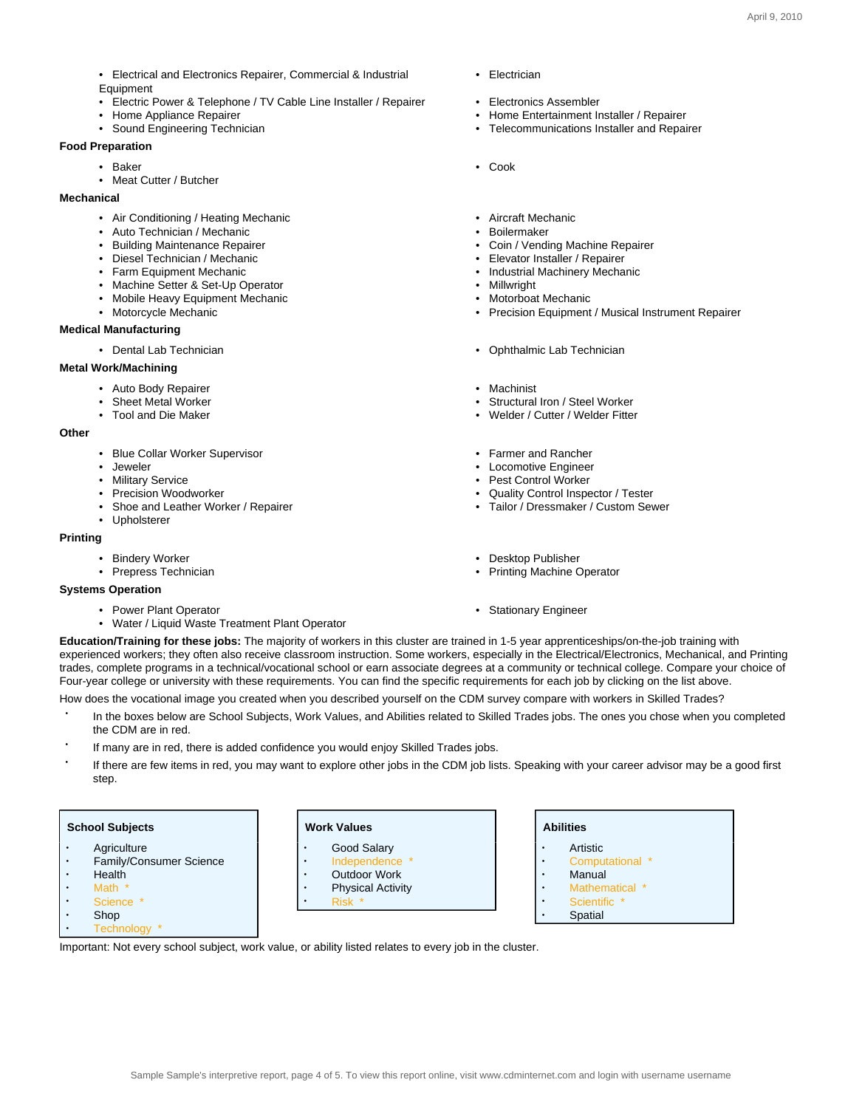- Electrical and Electronics Repairer, Commercial & Industrial
- Equipment
- Electric Power & Telephone / TV Cable Line Installer / Repairer Electronics Assembler
- 
- 

# **Food Preparation**

- 
- Meat Cutter / Butcher

# **Mechanical**

- Air Conditioning / Heating Mechanic  **Aircraft Mechanic** Aircraft Mechanic
- Auto Technician / Mechanic Boilermaker
- 
- Diesel Technician / Mechanic  **Elevator Installer / Repairer**
- 
- Machine Setter & Set-Up Operator
- Mobile Heavy Equipment Mechanic  **Motorboat Mechanic Motorboat Mechanic** Motorboat Mechanic
- 

# **Medical Manufacturing**

# **Metal Work/Machining**

- Auto Body Repairer **Machinist** Machinist
- 
- 

### **Other**

- Blue Collar Worker Supervisor Farmer and Rancher
- 
- 
- 
- 
- Upholsterer

### **Printing**

- 
- 

## **Systems Operation**

- Power Plant Operator Stationary Engineer
- Water / Liquid Waste Treatment Plant Operator
- Electrician
- 
- Home Appliance Repairer **Home Entertainment Installer / Repairer** Home Entertainment Installer / Repairer
- Sound Engineering Technician  **Telecommunications Installer and Repairer**
- Baker Cook
	-
	-
	- Coin / Vending Machine Repairer
	-
- Farm Equipment Mechanic  **Industrial Machinery Mechanic Industrial Machinery Mechanic Millwright** Millwright
	-
	-
- Motorcycle Mechanic  **Precision Equipment / Musical Instrument Repairer** Precision Equipment / Musical Instrument Repairer
- Dental Lab Technician Ophthalmic Lab Technician Ophthalmic Lab Technician
	-
- Sheet Metal Worker Sheet Metal Worker Structural Iron / Steel Worker Sheet Metal Worker
- Tool and Die Maker Welder / Cutter / Welder Fitter Welder / Cutter / Welder Fitter
	-
- Jeweler Locomotive Engineer Locomotive Engineer Locomotive Engineer
- Military Service  **Pest Control Worker** Pest Control Worker
- Precision Woodworker Shoe and Leather Worker / Repairer Cuality Control Inspector / Tester Shoe and Leather Worker / Repairer Tailor / Dressmaker / Custom Sev

**Abilities**

• Manual

**Artistic** • Computational \*

Mathematical \* Scientific \* **Spatial** 

- Tailor / Dressmaker / Custom Sewer
- Bindery Worker Desktop Publisher Desktop Publisher
- Prepress Technician Printing Machine Operator Printing Machine Operator
	-

**Education/Training for these jobs:** The majority of workers in this cluster are trained in 1-5 year apprenticeships/on-the-job training with experienced workers; they often also receive classroom instruction. Some workers, especially in the Electrical/Electronics, Mechanical, and Printing trades, complete programs in a technical/vocational school or earn associate degrees at a community or technical college. Compare your choice of Four-year college or university with these requirements. You can find the specific requirements for each job by clicking on the list above.

How does the vocational image you created when you described yourself on the CDM survey compare with workers in Skilled Trades?

- In the boxes below are School Subjects, Work Values, and Abilities related to Skilled Trades jobs. The ones you chose when you completed the CDM are in red.
- If many are in red, there is added confidence you would enjoy Skilled Trades jobs.
- If there are few items in red, you may want to explore other jobs in the CDM job lists. Speaking with your career advisor may be a good first step.

#### **School Subjects Agriculture** Family/Consumer Science • Health • Math \* Science \* • Shop **Work Values** Good Salary Independence • Outdoor Work **Physical Activity** • Risk \*

• Technology \*

Important: Not every school subject, work value, or ability listed relates to every job in the cluster.